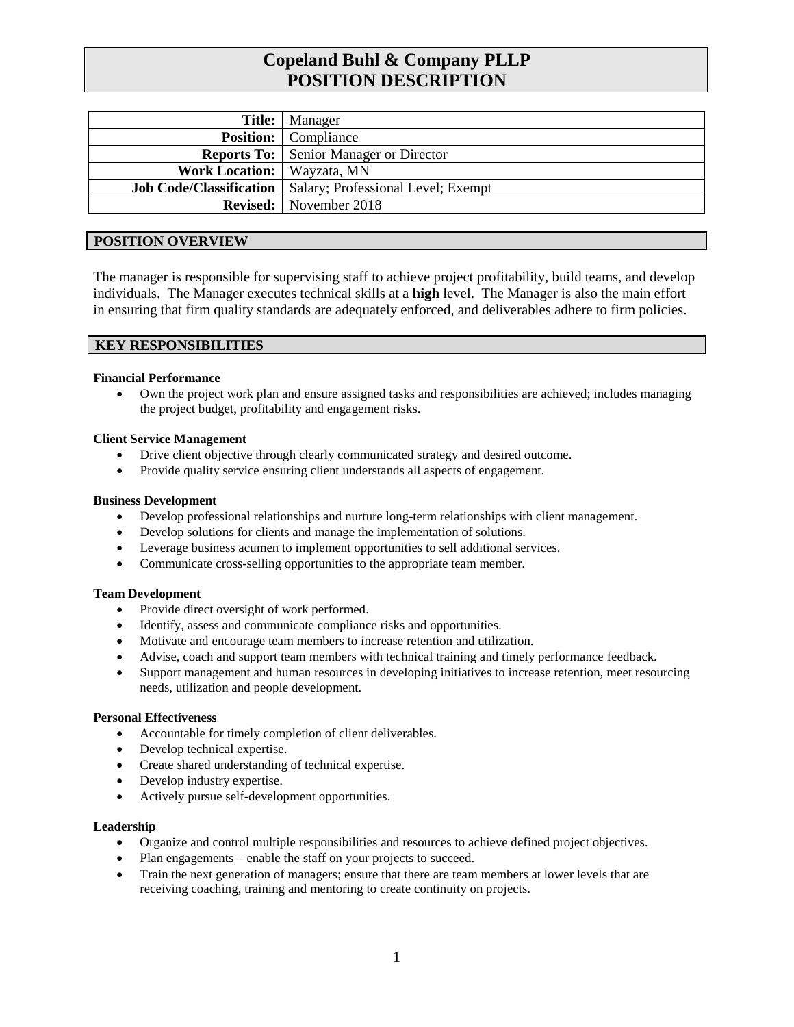# **Copeland Buhl & Company PLLP POSITION DESCRIPTION**

|                                     | <b>Title:</b> Manager                                               |
|-------------------------------------|---------------------------------------------------------------------|
|                                     | <b>Position:</b> Compliance                                         |
|                                     | <b>Reports To:</b> Senior Manager or Director                       |
| <b>Work Location:</b>   Wayzata, MN |                                                                     |
|                                     | <b>Job Code/Classification</b>   Salary; Professional Level; Exempt |
|                                     | <b>Revised:</b> November 2018                                       |

#### **POSITION OVERVIEW**

The manager is responsible for supervising staff to achieve project profitability, build teams, and develop individuals. The Manager executes technical skills at a **high** level. The Manager is also the main effort in ensuring that firm quality standards are adequately enforced, and deliverables adhere to firm policies.

### **KEY RESPONSIBILITIES**

#### **Financial Performance**

• Own the project work plan and ensure assigned tasks and responsibilities are achieved; includes managing the project budget, profitability and engagement risks.

#### **Client Service Management**

- Drive client objective through clearly communicated strategy and desired outcome.
- Provide quality service ensuring client understands all aspects of engagement.

#### **Business Development**

- Develop professional relationships and nurture long-term relationships with client management.
- Develop solutions for clients and manage the implementation of solutions.
- Leverage business acumen to implement opportunities to sell additional services.
- Communicate cross-selling opportunities to the appropriate team member.

#### **Team Development**

- Provide direct oversight of work performed.
- Identify, assess and communicate compliance risks and opportunities.
- Motivate and encourage team members to increase retention and utilization.
- Advise, coach and support team members with technical training and timely performance feedback.
- Support management and human resources in developing initiatives to increase retention, meet resourcing needs, utilization and people development.

#### **Personal Effectiveness**

- Accountable for timely completion of client deliverables.
- Develop technical expertise.
- Create shared understanding of technical expertise.
- Develop industry expertise.
- Actively pursue self-development opportunities.

#### **Leadership**

- Organize and control multiple responsibilities and resources to achieve defined project objectives.
- Plan engagements enable the staff on your projects to succeed.
- Train the next generation of managers; ensure that there are team members at lower levels that are receiving coaching, training and mentoring to create continuity on projects.